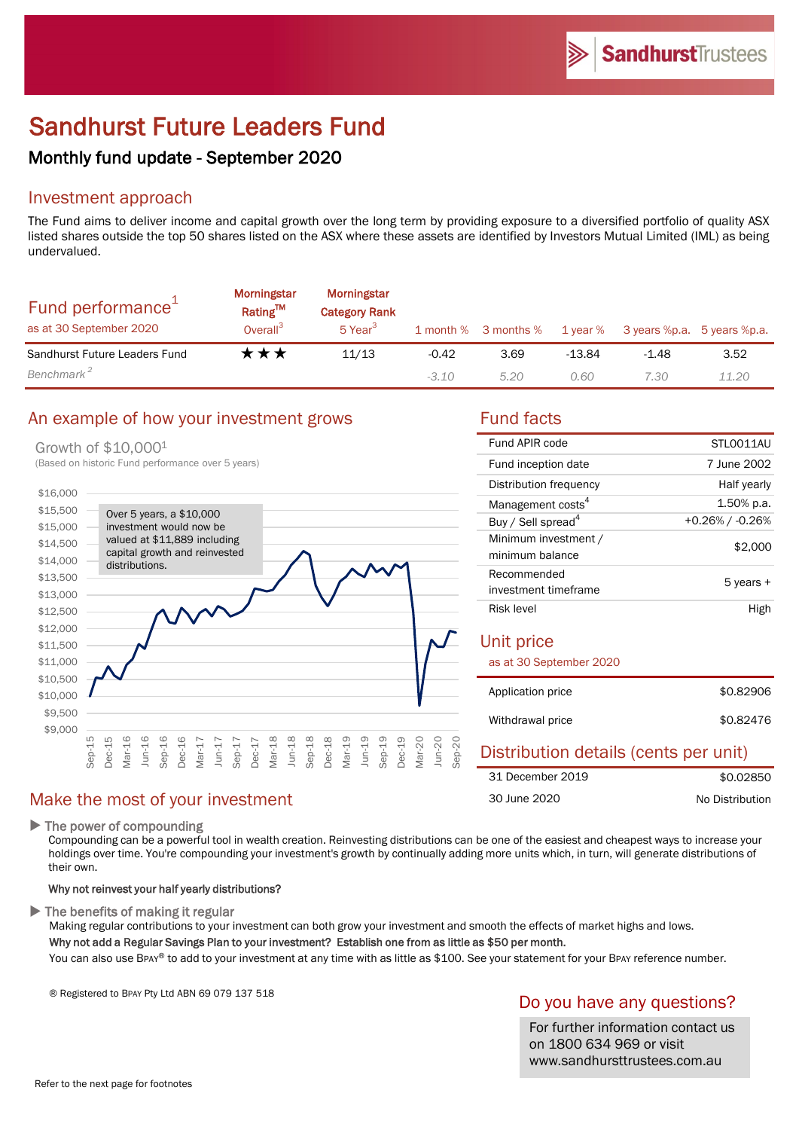# Sandhurst Future Leaders Fund

## Monthly fund update - September 2020

## Investment approach

The Fund aims to deliver income and capital growth over the long term by providing exposure to a diversified portfolio of quality ASX listed shares outside the top 50 shares listed on the ASX where these assets are identified by Investors Mutual Limited (IML) as being undervalued.

| Fund performance <sup>1</sup><br>as at 30 September 2020 | Morningstar<br>Rating™<br>Overall <sup>3</sup> | Morningstar<br><b>Category Rank</b><br>5 Year <sup>3</sup> |         |      |          | 1 month % 3 months % 1 year % 3 years %p.a. 5 years %p.a. |       |
|----------------------------------------------------------|------------------------------------------------|------------------------------------------------------------|---------|------|----------|-----------------------------------------------------------|-------|
| Sandhurst Future Leaders Fund                            | ★★★                                            | 11/13                                                      | $-0.42$ | 3.69 | $-13.84$ | $-1.48$                                                   | 3.52  |
| Benchmark <sup>2</sup>                                   |                                                |                                                            | $-3.10$ | 5.20 | 0.60     | 7.30                                                      | 11.20 |

## An example of how your investment grows Tund facts

Growth of \$10,0001

(Based on historic Fund performance over 5 years)



### Make the most of your investment

 $\blacktriangleright$  The power of compounding

Compounding can be a powerful tool in wealth creation. Reinvesting distributions can be one of the easiest and cheapest ways to increase your holdings over time. You're compounding your investment's growth by continually adding more units which, in turn, will generate distributions of their own.

### Why not reinvest your half yearly distributions?

 $\blacktriangleright$  The benefits of making it regular

Making regular contributions to your investment can both grow your investment and smooth the effects of market highs and lows.

Why not add a Regular Savings Plan to your investment? Establish one from as little as \$50 per month.

You can also use BPAY® to add to your investment at any time with as little as \$100. See your statement for your BPAY reference number.

® Registered to BPAY Pty Ltd ABN 69 079 137 518

### Do you have any questions?

For further information contact us on 1800 634 969 or visit www.sandhursttrustees.com.au

| Fund APIR code                          | STLO011AU       |
|-----------------------------------------|-----------------|
| Fund inception date                     | 7 June 2002     |
| Distribution frequency                  | Half yearly     |
| Management costs <sup>4</sup>           | 1.50% p.a.      |
| Buy / Sell spread <sup>4</sup>          | +0.26% / -0.26% |
| Minimum investment /<br>minimum balance | \$2,000         |
| Recommended<br>investment timeframe     | 5 years +       |
| Risk level                              | High            |
|                                         |                 |
| Unit price                              |                 |
| as at 30 September 2020                 |                 |
| Application price                       | \$0.82906       |
| Withdrawal price                        | \$0.82476       |

### Distribution details (cents per unit) \$0.02850 No Distribution 31 December 2019 30 June 2020